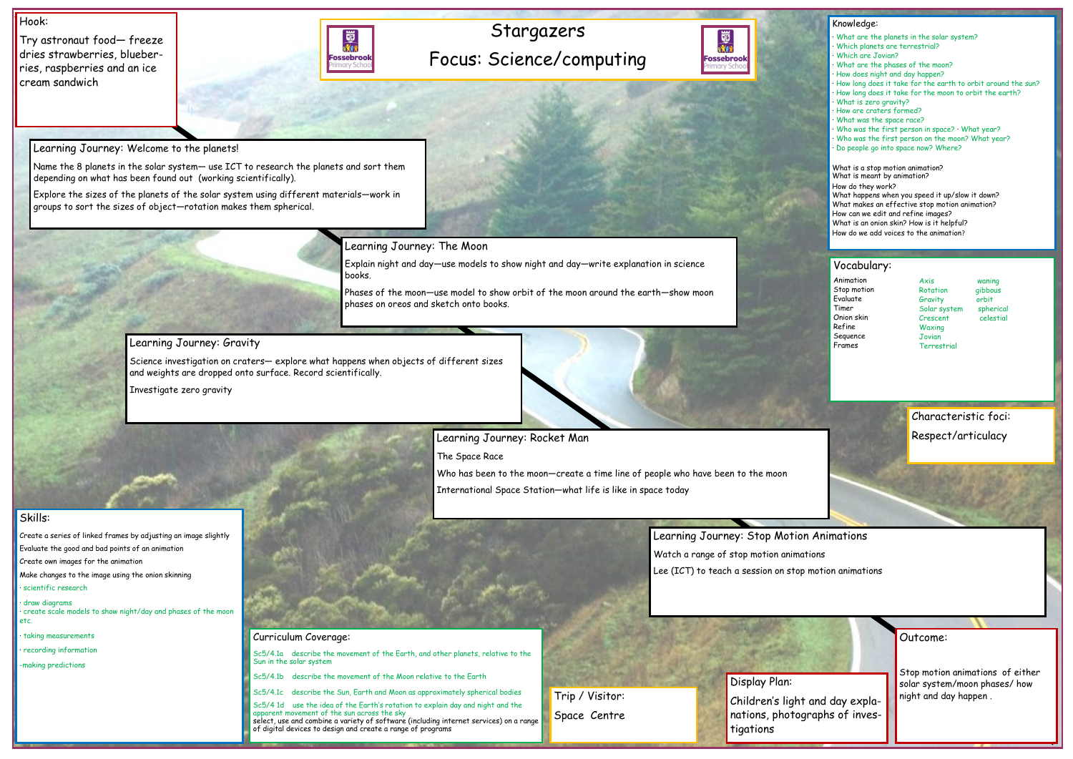# Stargazers Focus: Science/computing



### Hook:

Try astronaut food— freeze dries strawberries, blueberries, raspberries and an ice cream sandwich



## Outcome:

Stop motion animations of either solar system/moon phases/ how night and day happen .

### Knowledge:

- · What are the planets in the solar system?
- Which planets are terrestrial?
- · Which are Jovian?
- · What are the phases of the moon?
- · How does night and day happen?
- · How long does it take for the earth to orbit around the sun?
- · How long does it take for the moon to orbit the earth?
- What is zero gravity?
- · How are craters formed?
- · What was the space race?
- Who was the first person in space? What year?
- Who was the first person on the moon? What year?
- · Do people go into space now? Where?

What is a stop motion animation? What is meant by animation? How do they work? What happens when you speed it up/slow it down? What makes an effective stop motion animation? How can we edit and refine images? What is an onion skin? How is it helpful? How do we add voices to the animation?

# Skills:

Create a series of linked frames by adjusting an image slightly

Evaluate the good and bad points of an animation

Create own images for the animation

Make changes to the image using the onion skinning

· scientific research

· draw diagrams · create scale models to show night/day and phases of the moon etc.

· taking measurements

· recording information

-making predictions

Learning Journey: Welcome to the planets!

Name the 8 planets in the solar system— use ICT to research the planets and sort them depending on what has been found out (working scientifically).

> Axis waning Rotation gibbous Gravity orbit Solar system spherical Crescent celestial **Waxing Jovian Terrestrial**

Explore the sizes of the planets of the solar system using different materials—work in groups to sort the sizes of object—rotation makes them spherical.

Learning Journey: The Moon

Explain night and day—use models to show night and day—write explanation in science books.

Phases of the moon—use model to show orbit of the moon around the earth—show moon phases on oreos and sketch onto books.

# Learning Journey: Gravity

Science investigation on craters— explore what happens when objects of different sizes and weights are dropped onto surface. Record scientifically.

Investigate zero gravity

Learning Journey: Rocket Man



Who has been to the moon—create a time line of people who have been to the moon International Space Station—what life is like in space today





Sc5/4.1a describe the movement of the Earth, and other planets, relative to the Sun in the solar system

Sc5/4.1b describe the movement of the Moon relative to the Earth

Sc5/4.1c describe the Sun, Earth and Moon as approximately spherical bodies

Sc5/4 1d use the idea of the Earth's rotation to explain day and night and the

apparent movement of the sun across the sky select, use and combine a variety of software (including internet services) on a range of digital devices to design and create a range of programs

### Vocabulary:

Animation Stop motion Evaluate Timer Onion skin Refine Sequence Frames

Display Plan: Children's light and day explanations, photographs of investigations

Trip / Visitor:

Space Centre

Characteristic foci: Respect/articulacy